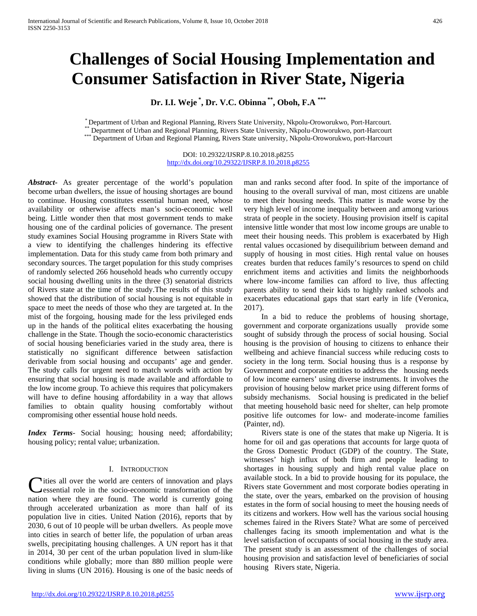# **Challenges of Social Housing Implementation and Consumer Satisfaction in River State, Nigeria**

**Dr. I.I. Weje \* , Dr. V.C. Obinna \*\*, Oboh, F.A \*\*\***

\* Department of Urban and Regional Planning, Rivers State University, Nkpolu-Oroworukwo, Port-Harcourt.<br>\*\* Department of Urban and Regional Planning, Rivers State University, Nkpolu-Oroworukwo, port-Harcourt<br>\*\*\* Department

DOI: 10.29322/IJSRP.8.10.2018.p8255 <http://dx.doi.org/10.29322/IJSRP.8.10.2018.p8255>

*Abstract***-** As greater percentage of the world's population become urban dwellers, the issue of housing shortages are bound to continue. Housing constitutes essential human need, whose availability or otherwise affects man's socio-economic well being. Little wonder then that most government tends to make housing one of the cardinal policies of governance. The present study examines Social Housing programme in Rivers State with a view to identifying the challenges hindering its effective implementation. Data for this study came from both primary and secondary sources. The target population for this study comprises of randomly selected 266 household heads who currently occupy social housing dwelling units in the three (3) senatorial districts of Rivers state at the time of the study.The results of this study showed that the distribution of social housing is not equitable in space to meet the needs of those who they are targeted at. In the mist of the forgoing, housing made for the less privileged ends up in the hands of the political elites exacerbating the housing challenge in the State. Though the socio-economic characteristics of social housing beneficiaries varied in the study area, there is statistically no significant difference between satisfaction derivable from social housing and occupants' age and gender. The study calls for urgent need to match words with action by ensuring that social housing is made available and affordable to the low income group. To achieve this requires that policymakers will have to define housing affordability in a way that allows families to obtain quality housing comfortably without compromising other essential house hold needs.

*Index Terms*- Social housing; housing need; affordability; housing policy; rental value; urbanization.

# I. INTRODUCTION

**Ities all over the world are centers of innovation and plays** essential role in the socio-economic transformation of the Cities all over the world are centers of innovation and plays<br>
essential role in the socio-economic transformation of the<br>
nation where they are found. The world is currently going through accelerated urbanization as more than half of its population live in cities. United Nation (2016), reports that by 2030, 6 out of 10 people will be urban dwellers. As people move into cities in search of better life, the population of urban areas swells, precipitating housing challenges. A UN report has it that in 2014, 30 per cent of the urban population lived in slum-like conditions while globally; more than 880 million people were living in slums (UN 2016). Housing is one of the basic needs of

man and ranks second after food. In spite of the importance of housing to the overall survival of man, most citizens are unable to meet their housing needs. This matter is made worse by the very high level of income inequality between and among various strata of people in the society. Housing provision itself is capital intensive little wonder that most low income groups are unable to meet their housing needs. This problem is exacerbated by High rental values occasioned by disequilibrium between demand and supply of housing in most cities. High rental value on houses creates burden that reduces family's resources to spend on child enrichment items and activities and limits the neighborhoods where low-income families can afford to live, thus affecting parents ability to send their kids to highly ranked schools and exacerbates educational gaps that start early in life (Veronica, 2017).

 In a bid to reduce the problems of housing shortage, government and corporate organizations usually provide some sought of subsidy through the process of social housing. Social housing is the provision of housing to citizens to enhance their wellbeing and achieve financial success while reducing costs to society in the long term. Social housing thus is a response by Government and corporate entities to address the housing needs of low income earners' using diverse instruments. It involves the provision of housing below market price using different forms of subsidy mechanisms. Social housing is predicated in the belief that meeting household basic need for shelter, can help promote positive life outcomes for low- and moderate-income families (Painter, nd).

 Rivers state is one of the states that make up Nigeria. It is home for oil and gas operations that accounts for large quota of the Gross Domestic Product (GDP) of the country. The State, witnesses' high influx of both firm and people leading to shortages in housing supply and high rental value place on available stock. In a bid to provide housing for its populace, the Rivers state Government and most corporate bodies operating in the state, over the years, embarked on the provision of housing estates in the form of social housing to meet the housing needs of its citizens and workers. How well has the various social housing schemes faired in the Rivers State? What are some of perceived challenges facing its smooth implementation and what is the level satisfaction of occupants of social housing in the study area. The present study is an assessment of the challenges of social housing provision and satisfaction level of beneficiaries of social housing Rivers state, Nigeria.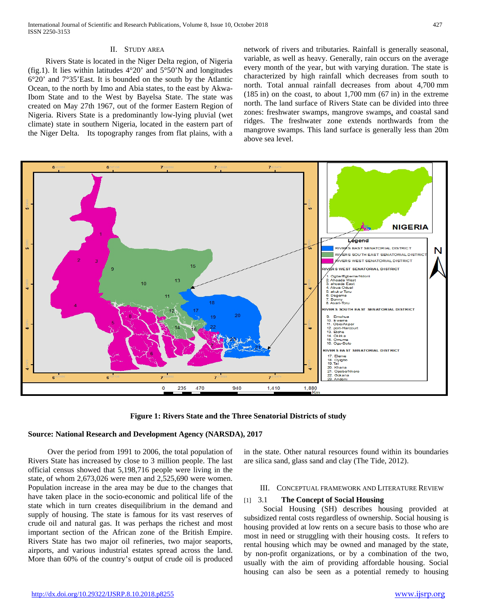## II. STUDY AREA

 Rivers State is located in the Niger Delta region, of Nigeria (fig.1). It lies within latitudes 4°20' and 5°50'N and longitudes 6°20' and 7°35'East. It is bounded on the south by the Atlantic Ocean, to the north by Imo and Abia states, to the east by Akwa-Ibom State and to the West by Bayelsa State. The state was created on May 27th 1967, out of the former Eastern Region of Nigeria. Rivers State is a predominantly low-lying pluvial (wet climate) state in southern Nigeria, located in the eastern part of the Niger Delta. Its topography ranges from flat plains, with a

network of rivers and tributaries. Rainfall is generally seasonal, variable, as well as heavy. Generally, rain occurs on the average every month of the year, but with varying duration. The state is characterized by high rainfall which decreases from south to north. Total annual rainfall decreases from about 4,700 mm (185 in) on the coast, to about 1,700 mm (67 in) in the extreme north. The land surface of Rivers State can be divided into three zones: freshwater swamps, mangrove swamps, and coastal sand ridges. The freshwater zone extends northwards from the mangrove swamps. This land surface is generally less than 20m above sea level.



**Figure 1: Rivers State and the Three Senatorial Districts of study**

### **Source: National Research and Development Agency (NARSDA), 2017**

 Over the period from 1991 to 2006, the total population of Rivers State has increased by close to 3 million people. The last official census showed that 5,198,716 people were living in the state, of whom 2,673,026 were men and 2,525,690 were women. Population increase in the area may be due to the changes that have taken place in the socio-economic and political life of the state which in turn creates disequilibrium in the demand and supply of housing. The state is famous for its vast reserves of crude oil and natural gas. It was perhaps the richest and most important section of the African zone of the British Empire. Rivers State has two major oil refineries, two major seaports, airports, and various industrial estates spread across the land. More than 60% of the country's output of crude oil is produced

in the state. Other natural resources found within its boundaries are silica sand, glass sand and clay (The Tide, 2012).

#### III. CONCEPTUAL FRAMEWORK AND LITERATURE REVIEW

## [1] 3.1 **The Concept of Social Housing**

 Social Housing (SH) describes housing provided at subsidized rental costs regardless of ownership. Social housing is housing provided at low rents on a secure basis to those who are most in need or struggling with their housing costs. It refers to rental housing which may be owned and managed by the state, by non-profit organizations, or by a combination of the two, usually with the aim of providing affordable housing. Social housing can also be seen as a potential remedy to housing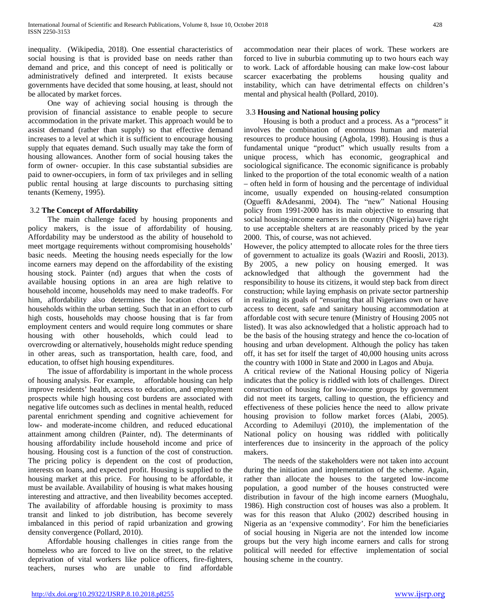inequality. (Wikipedia, 2018). One essential characteristics of social housing is that is provided base on needs rather than demand and price, and this concept of need is politically or administratively defined and interpreted. It exists because governments have decided that some housing, at least, should not be allocated by market forces.

 One way of achieving social housing is through the provision of financial assistance to enable people to secure accommodation in the private market. This approach would be to assist demand (rather than supply) so that effective demand increases to a level at which it is sufficient to encourage housing supply that equates demand. Such usually may take the form of housing allowances. Another form of social housing takes the form of owner- occupier. In this case substantial subsidies are paid to owner-occupiers, in form of tax privileges and in selling public rental housing at large discounts to purchasing sitting tenants (Kemeny, 1995).

# 3.2 **The Concept of Affordability**

 The main challenge faced by housing proponents and policy makers, is the issue of affordability of housing. Affordability may be understood as the ability of household to meet mortgage requirements without compromising households' basic needs. Meeting the housing needs especially for the low income earners may depend on the affordability of the existing housing stock. Painter (nd) argues that when the costs of available housing options in an area are high relative to household income, households may need to make tradeoffs. For him, affordability also determines the location choices of households within the urban setting. Such that in an effort to curb high costs, households may choose housing that is far from employment centers and would require long commutes or share housing with other households, which could lead to overcrowding or alternatively, households might reduce spending in other areas, such as transportation, health care, food, and education, to offset high housing expenditures.

 The issue of affordability is important in the whole process of housing analysis. For example, affordable housing can help improve residents' health, access to education, and employment prospects while high housing cost burdens are associated with negative life outcomes such as declines in mental health, reduced parental enrichment spending and cognitive achievement for low- and moderate-income children, and reduced educational attainment among children (Painter, nd). The determinants of housing affordability include household income and price of housing. Housing cost is a function of the cost of construction. The pricing policy is dependent on the cost of production, interests on loans, and expected profit. Housing is supplied to the housing market at this price. For housing to be affordable, it must be available. Availability of housing is what makes housing interesting and attractive, and then liveability becomes accepted. The availability of affordable housing is proximity to mass transit and linked to job distribution, has become severely imbalanced in this period of rapid urbanization and growing density convergence (Pollard, 2010).

 Affordable housing challenges in cities range from the homeless who are forced to live on the street, to the relative deprivation of vital workers like police officers, fire-fighters, teachers, nurses who are unable to find affordable

accommodation near their places of work. These workers are forced to live in suburbia commuting up to two hours each way to work. Lack of affordable housing can make low-cost labour scarcer exacerbating the problems housing quality and instability, which can have detrimental effects on children's mental and physical health (Pollard, 2010).

# 3.3 **Housing and National housing policy**

 Housing is both a product and a process. As a "process" it involves the combination of enormous human and material resources to produce housing (Agbola, 1998). Housing is thus a fundamental unique "product" which usually results from a unique process, which has economic, geographical and sociological significance. The economic significance is probably linked to the proportion of the total economic wealth of a nation – often held in form of housing and the percentage of individual income, usually expended on housing-related consumption (Ogueffi &Adesanmi, 2004). The "new" National Housing policy from 1991-2000 has its main objective to ensuring that social housing-income earners in the country (Nigeria) have right to use acceptable shelters at are reasonably priced by the year 2000. This, of course, was not achieved.

However, the policy attempted to allocate roles for the three tiers of government to actualize its goals (Waziri and Roosli, 2013). By 2005, a new policy on housing emerged. It was acknowledged that although the government had the responsibility to house its citizens, it would step back from direct construction; while laying emphasis on private sector partnership in realizing its goals of "ensuring that all Nigerians own or have access to decent, safe and sanitary housing accommodation at affordable cost with secure tenure (Ministry of Housing 2005 not listed). It was also acknowledged that a holistic approach had to be the basis of the housing strategy and hence the co-location of housing and urban development. Although the policy has taken off, it has set for itself the target of 40,000 housing units across the country with 1000 in State and 2000 in Lagos and Abuja.

A critical review of the National Housing policy of Nigeria indicates that the policy is riddled with lots of challenges. Direct construction of housing for low-income groups by government did not meet its targets, calling to question, the efficiency and effectiveness of these policies hence the need to allow private housing provision to follow market forces (Alabi, 2005). According to Ademiluyi (2010), the implementation of the National policy on housing was riddled with politically interferences due to insincerity in the approach of the policy makers.

 The needs of the stakeholders were not taken into account during the initiation and implementation of the scheme. Again, rather than allocate the houses to the targeted low-income population, a good number of the houses constructed were distribution in favour of the high income earners (Muoghalu, 1986). High construction cost of houses was also a problem. It was for this reason that Aluko (2002) described housing in Nigeria as an 'expensive commodity'. For him the beneficiaries of social housing in Nigeria are not the intended low income groups but the very high income earners and calls for strong political will needed for effective implementation of social housing scheme in the country.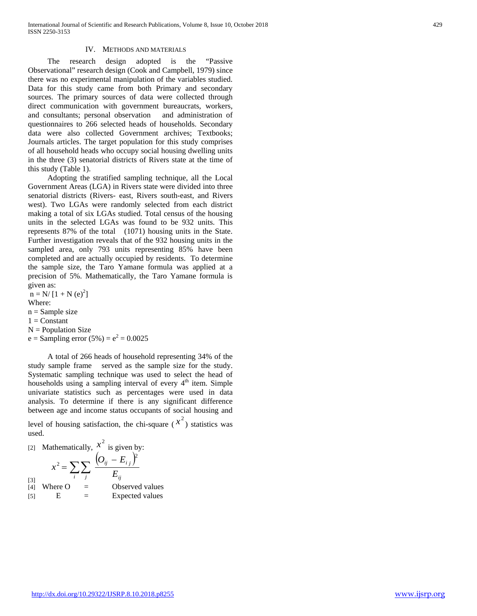## IV. METHODS AND MATERIALS

 The research design adopted is the "Passive Observational" research design (Cook and Campbell, 1979) since there was no experimental manipulation of the variables studied. Data for this study came from both Primary and secondary sources. The primary sources of data were collected through direct communication with government bureaucrats, workers, and consultants; personal observation and administration of questionnaires to 266 selected heads of households. Secondary data were also collected Government archives; Textbooks; Journals articles. The target population for this study comprises of all household heads who occupy social housing dwelling units in the three (3) senatorial districts of Rivers state at the time of this study (Table 1).

 Adopting the stratified sampling technique, all the Local Government Areas (LGA) in Rivers state were divided into three senatorial districts (Rivers- east, Rivers south-east, and Rivers west). Two LGAs were randomly selected from each district making a total of six LGAs studied. Total census of the housing units in the selected LGAs was found to be 932 units. This represents 87% of the total (1071) housing units in the State. Further investigation reveals that of the 932 housing units in the sampled area, only 793 units representing 85% have been completed and are actually occupied by residents. To determine the sample size, the Taro Yamane formula was applied at a precision of 5%. Mathematically, the Taro Yamane formula is given as:

 $n = N/[1 + N(e)^{2}]$ Where:  $n =$ Sample size  $1 =$ Constant  $N =$  Population Size  $e =$  Sampling error (5%) =  $e^2 = 0.0025$ 

 A total of 266 heads of household representing 34% of the study sample frame served as the sample size for the study. Systematic sampling technique was used to select the head of households using a sampling interval of every  $4<sup>th</sup>$  item. Simple univariate statistics such as percentages were used in data analysis. To determine if there is any significant difference between age and income status occupants of social housing and level of housing satisfaction, the chi-square  $(x^2)$  statistics was used.

[2] Mathematically, 
$$
x^2
$$
 is given by:  
\n
$$
x^2 = \sum_i \sum_j \frac{(O_{ij} - E_{ij})^2}{E_{ij}}
$$
\n[3] Where O = Observed values  
\n[5] E = Expected values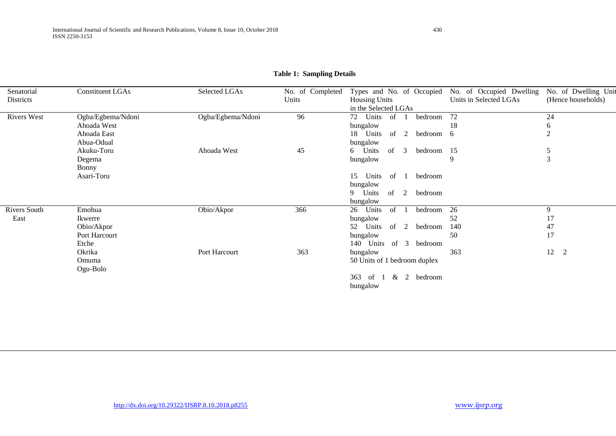| Senatorial          | <b>Constituent LGAs</b>   | Selected LGAs     | No. of Completed | Types and No. of Occupied No. of Occupied Dwelling |                        | No. of Dwelling Unit |
|---------------------|---------------------------|-------------------|------------------|----------------------------------------------------|------------------------|----------------------|
| Districts           |                           |                   | Units            | <b>Housing Units</b>                               | Units in Selected LGAs | (Hence households)   |
|                     |                           |                   |                  | in the Selected LGAs                               |                        |                      |
| <b>Rivers West</b>  | Ogba/Egbema/Ndoni         | Ogba/Egbema/Ndoni | 96               | 72<br>Units<br>bedroom<br>of                       | 72                     | 24                   |
|                     | Ahoada West               |                   |                  | bungalow                                           | 18                     | 6                    |
|                     | Ahoada East<br>Abua-Odual |                   |                  | 18 Units<br>2<br>of<br>bedroom 6<br>bungalow       |                        | $\overline{2}$       |
|                     | Akuku-Toru                | Ahoada West       | 45               | of<br>6 Units<br>3<br>bedroom 15                   |                        | 5                    |
|                     | Degema<br><b>Bonny</b>    |                   |                  | bungalow                                           | 9                      | 3                    |
|                     | Asari-Toru                |                   |                  | bedroom<br>Units<br>of $1$<br>15<br>bungalow       |                        |                      |
|                     |                           |                   |                  | Units<br>of $2$<br>bedroom<br>9<br>bungalow        |                        |                      |
| <b>Rivers South</b> | Emohua                    | Obio/Akpor        | 366              | of<br>26<br>Units<br>bedroom                       | 26                     | 9                    |
| East                | Ikwerre                   |                   |                  | bungalow                                           | 52                     | 17                   |
|                     | Obio/Akpor                |                   |                  | 52<br>Units<br>of<br>2<br>bedroom                  | 140                    | 47                   |
|                     | Port Harcourt             |                   |                  | bungalow                                           | 50                     | 17                   |
|                     | Etche                     |                   |                  | of $3$<br>140 Units<br>bedroom                     |                        |                      |
|                     | Okrika                    | Port Harcourt     | 363              | bungalow                                           | 363                    | 12<br>$\overline{2}$ |
|                     | Omuma<br>Ogu-Bolo         |                   |                  | 50 Units of 1 bedroom duplex                       |                        |                      |
|                     |                           |                   |                  | $\&$ 2<br>bedroom<br>363<br>of<br>- 1<br>bungalow  |                        |                      |

# **Table 1: Sampling Details**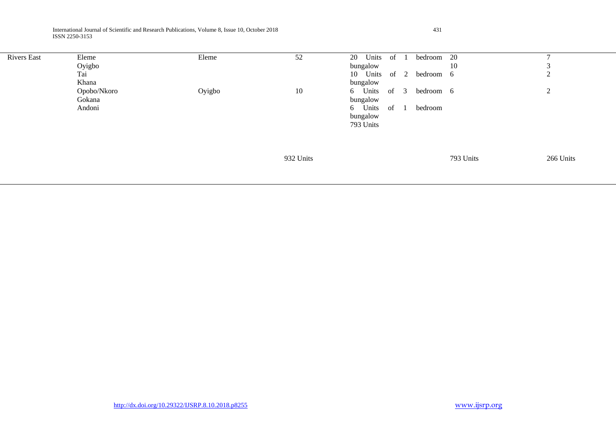International Journal of Scientific and Research Publications, Volume 8, Issue 10, October 2018 431 ISSN 2250-3153

| <b>Rivers East</b> | Eleme<br>Oyigbo<br>Tai<br>Khana | Eleme  | 52        | Units<br>20<br>bungalow<br>10 Units<br>bungalow                   | of 1<br>of $2$ | bedroom<br>bedroom 6 | - 20<br>10 | 3<br>$\mathfrak{2}$ |
|--------------------|---------------------------------|--------|-----------|-------------------------------------------------------------------|----------------|----------------------|------------|---------------------|
|                    | Opobo/Nkoro<br>Gokana<br>Andoni | Oyigbo | 10        | 6 Units of 3<br>bungalow<br>6 Units of 1<br>bungalow<br>793 Units |                | bedroom 6<br>bedroom |            | 2                   |
|                    |                                 |        | 932 Units |                                                                   |                |                      | 793 Units  | 266 Units           |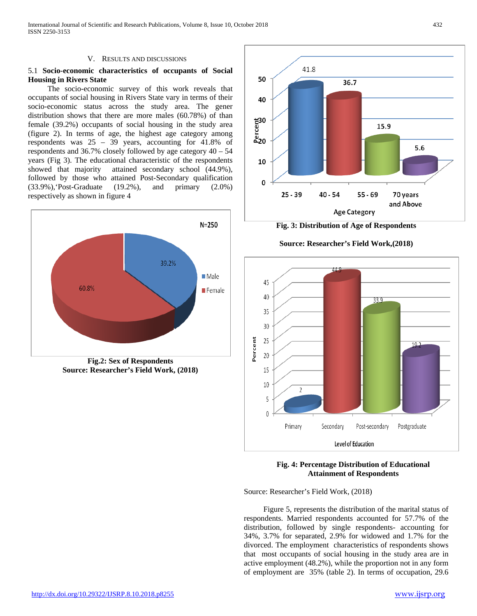#### V. RESULTS AND DISCUSSIONS

# 5.1 **Socio-economic characteristics of occupants of Social Housing in Rivers State**

 The socio-economic survey of this work reveals that occupants of social housing in Rivers State vary in terms of their socio-economic status across the study area. The gener distribution shows that there are more males (60.78%) of than female (39.2%) occupants of social housing in the study area (figure 2). In terms of age, the highest age category among respondents was 25 – 39 years, accounting for 41.8% of respondents and 36.7% closely followed by age category 40 – 54 years (Fig 3). The educational characteristic of the respondents showed that majority attained secondary school (44.9%), followed by those who attained Post-Secondary qualification (33.9%),'Post-Graduate (19.2%), and primary (2.0%) respectively as shown in figure 4



**Source: Researcher's Field Work, (2018)**



**Fig. 3: Distribution of Age of Respondents**

# **Source: Researcher's Field Work,(2018)**



**Fig. 4: Percentage Distribution of Educational Attainment of Respondents**

Source: Researcher's Field Work, (2018)

 Figure 5, represents the distribution of the marital status of respondents. Married respondents accounted for 57.7% of the distribution, followed by single respondents- accounting for 34%, 3.7% for separated, 2.9% for widowed and 1.7% for the divorced. The employment characteristics of respondents shows that most occupants of social housing in the study area are in active employment (48.2%), while the proportion not in any form of employment are 35% (table 2). In terms of occupation, 29.6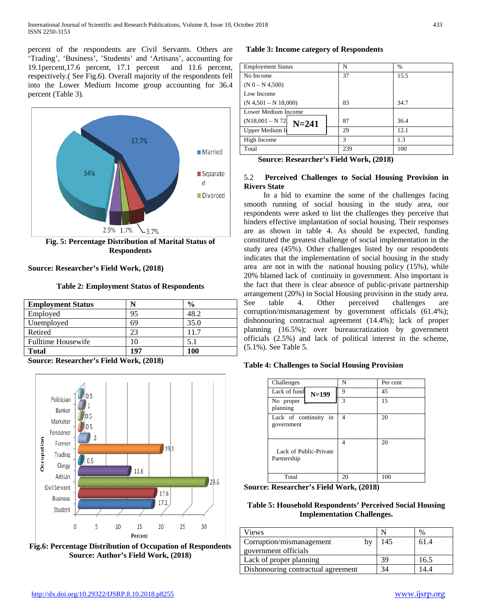percent of the respondents are Civil Servants. Others are 'Trading', 'Business', 'Students' and 'Artisans', accounting for 19.1percent,17.6 percent, 17.1 percent and 11.6 percent, respectively.( See Fig.6). Overall majority of the respondents fell into the Lower Medium Income group accounting for 36.4 percent (Table 3).



**Source: Researcher's Field Work, (2018)**

**Table 2: Employment Status of Respondents**

| <b>Employment Status</b>  |     | $\frac{0}{0}$ |
|---------------------------|-----|---------------|
| Employed                  | 95  | 48.2          |
| Unemployed                | 69  | 35.0          |
| Retired                   | 23  | 11.7          |
| <b>Fulltime Housewife</b> |     | 5.1           |
| <b>Total</b>              | 107 | 100           |

**Source: Researcher's Field Work, (2018)**



**Fig.6: Percentage Distribution of Occupation of Respondents Source: Author's Field Work, (2018)**

# **Table 3: Income category of Respondents**

| <b>Employment Status</b>        | N   | $\%$ |
|---------------------------------|-----|------|
| No Income                       | 37  | 15.5 |
| $(N 0 - N 4,500)$               |     |      |
| Low Income                      |     |      |
| $(N 4, 501 - N 18,000)$         | 83  | 34.7 |
| Lower Medium Income             |     |      |
| $(N18,001 - N 72)$<br>$N = 241$ | 87  | 36.4 |
| Upper Medium In                 | 29  | 12.1 |
| High Income                     | 3   | 1.3  |
| Total                           | 239 | 100  |

**Source: Researcher's Field Work, (2018)**

# 5.2 **Perceived Challenges to Social Housing Provision in Rivers State**

 In a bid to examine the some of the challenges facing smooth running of social housing in the study area, our respondents were asked to list the challenges they perceive that hinders effective implantation of social housing. Their responses are as shown in table 4. As should be expected, funding constituted the greatest challenge of social implementation in the study area (45%). Other challenges listed by our respondents indicates that the implementation of social housing in the study area are not in with the national housing policy (15%), while 20% blamed lack of continuity in government. Also important is the fact that there is clear absence of public-private partnership arrangement (20%) in Social Housing provision in the study area. See table 4. Other perceived challenges are corruption/mismanagement by government officials (61.4%); dishonouring contractual agreement (14.4%); lack of proper planning (16.5%); over bureaucratization by government officials (2.5%) and lack of political interest in the scheme, (5.1%). See Table 5.

# **Table 4: Challenges to Social Housing Provision**

| Challenges                            | N            | Per cent |
|---------------------------------------|--------------|----------|
| Lack of fund<br>$N=199$               | 9            | 45       |
| No proper<br>planning                 | $\mathbf{3}$ | 15       |
| Lack of continuity in<br>government   | 4            | 20       |
| Lack of Public-Private<br>Partnership | 4            | 20       |
| Total                                 | 20           | 100      |

**Source: Researcher's Field Work, (2018)**

# **Table 5: Household Respondents' Perceived Social Housing Implementation Challenges.**

| Views                              |    |     | $\%$ |
|------------------------------------|----|-----|------|
| Corruption/mismanagement           | bv | 145 | 61.4 |
| government officials               |    |     |      |
| Lack of proper planning            |    | 39  | 16.5 |
| Dishonouring contractual agreement |    | 34  | .4.4 |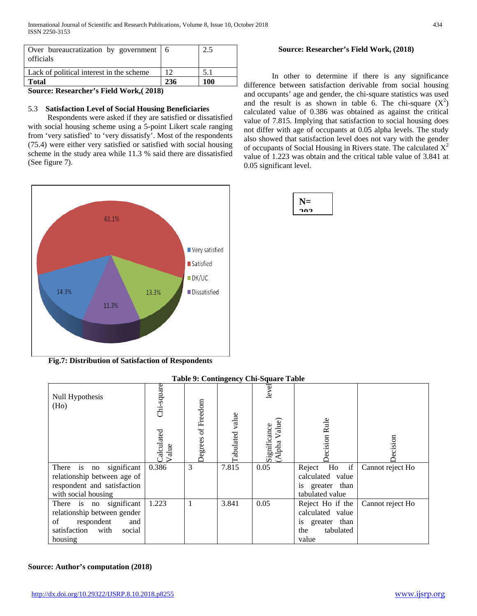| --                                                  |     |     |
|-----------------------------------------------------|-----|-----|
| <b>Total</b>                                        | 236 | 100 |
| Lack of political interest in the scheme            |     | 5.1 |
| Over bureaucratization by government 6<br>officials |     |     |

**Source: Researcher's Field Work,( 2018)**

# 5.3 **Satisfaction Level of Social Housing Beneficiaries**

 Respondents were asked if they are satisfied or dissatisfied with social housing scheme using a 5-point Likert scale ranging from 'very satisfied' to 'very dissatisfy'. Most of the respondents (75.4) were either very satisfied or satisfied with social housing scheme in the study area while 11.3 % said there are dissatisfied (See figure 7).



**Fig.7: Distribution of Satisfaction of Respondents**

# **Table 9: Contingency Chi-Square Table**

| Null Hypothesis<br>(Ho)                                                                                                     | Chi-square<br>Calculated<br>Value<br>alue | Degrees of Freedom | -<br>Tabulated value | level<br>Value)<br>Significance<br>(Alpha Value | ecision Rule                                                                         | ecision          |
|-----------------------------------------------------------------------------------------------------------------------------|-------------------------------------------|--------------------|----------------------|-------------------------------------------------|--------------------------------------------------------------------------------------|------------------|
| is<br>significant<br>There<br>no<br>relationship between age of                                                             | 0.386                                     | 3                  | 7.815                | 0.05                                            | if<br>Ho<br>Reject<br>calculated value                                               | Cannot reject Ho |
| respondent and satisfaction<br>with social housing                                                                          |                                           |                    |                      |                                                 | is greater than<br>tabulated value                                                   |                  |
| There is no significant<br>relationship between gender<br>of<br>respondent<br>and<br>satisfaction with<br>social<br>housing | 1.223                                     |                    | 3.841                | 0.05                                            | Reject Ho if the<br>calculated value<br>is greater than<br>tabulated<br>the<br>value | Cannot reject Ho |

# **Source: Author's computation (2018)**

# **Source: Researcher's Field Work, (2018)**

In other to determine if there is any significance difference between satisfaction derivable from social housing and occupants' age and gender, the chi-square statistics was used and the result is as shown in table 6. The chi-square  $(X^2)$ calculated value of 0.386 was obtained as against the critical value of 7.815. Implying that satisfaction to social housing does not differ with age of occupants at 0.05 alpha levels. The study also showed that satisfaction level does not vary with the gender of occupants of Social Housing in Rivers state. The calculated  $X^2$ value of 1.223 was obtain and the critical table value of 3.841 at 0.05 significant level.